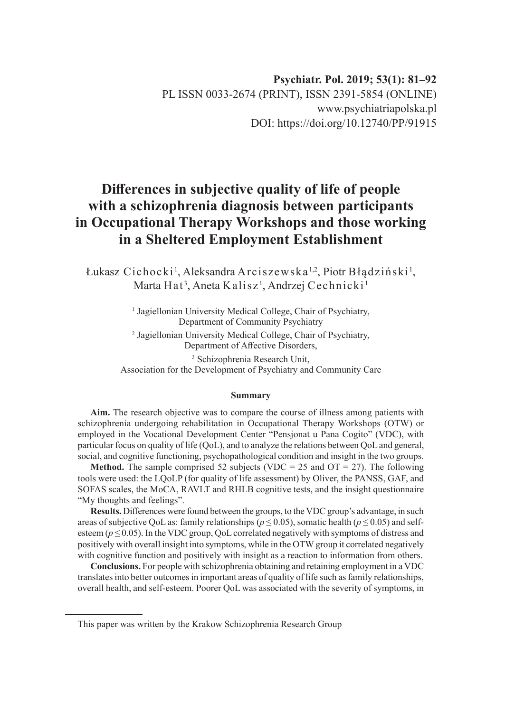## **Psychiatr. Pol. 2019; 53(1): 81–92** PL ISSN 0033-2674 (PRINT), ISSN 2391-5854 (ONLINE) www.psychiatriapolska.pl DOI: https://doi.org/10.12740/PP/91915

# **Differences in subjective quality of life of people with a schizophrenia diagnosis between participants in Occupational Therapy Workshops and those working in a Sheltered Employment Establishment**

Łukasz Cichocki<sup>1</sup>, Aleksandra Arciszewska ½, Piotr Błądziński<sup>1</sup>, Marta Hat<sup>3</sup>, Aneta Kalisz<sup>1</sup>, Andrzej Cechnicki<sup>1</sup>

> <sup>1</sup> Jagiellonian University Medical College, Chair of Psychiatry, Department of Community Psychiatry 2 Jagiellonian University Medical College, Chair of Psychiatry, Department of Affective Disorders, 3 Schizophrenia Research Unit, Association for the Development of Psychiatry and Community Care

#### **Summary**

**Aim.** The research objective was to compare the course of illness among patients with schizophrenia undergoing rehabilitation in Occupational Therapy Workshops (OTW) or employed in the Vocational Development Center "Pensjonat u Pana Cogito" (VDC), with particular focus on quality of life (QoL), and to analyze the relations between QoL and general, social, and cognitive functioning, psychopathological condition and insight in the two groups.

**Method.** The sample comprised 52 subjects (VDC = 25 and  $OT = 27$ ). The following tools were used: the LQoLP (for quality of life assessment) by Oliver, the PANSS, GAF, and SOFAS scales, the MoCA, RAVLT and RHLB cognitive tests, and the insight questionnaire "My thoughts and feelings".

**Results.** Differences were found between the groups, to the VDC group's advantage, in such areas of subjective QoL as: family relationships ( $p \le 0.05$ ), somatic health ( $p \le 0.05$ ) and selfesteem ( $p \le 0.05$ ). In the VDC group, QoL correlated negatively with symptoms of distress and positively with overall insight into symptoms, while in the OTW group it correlated negatively with cognitive function and positively with insight as a reaction to information from others.

**Conclusions.** For people with schizophrenia obtaining and retaining employment in a VDC translates into better outcomes in important areas of quality of life such as family relationships, overall health, and self-esteem. Poorer QoL was associated with the severity of symptoms, in

This paper was written by the Krakow Schizophrenia Research Group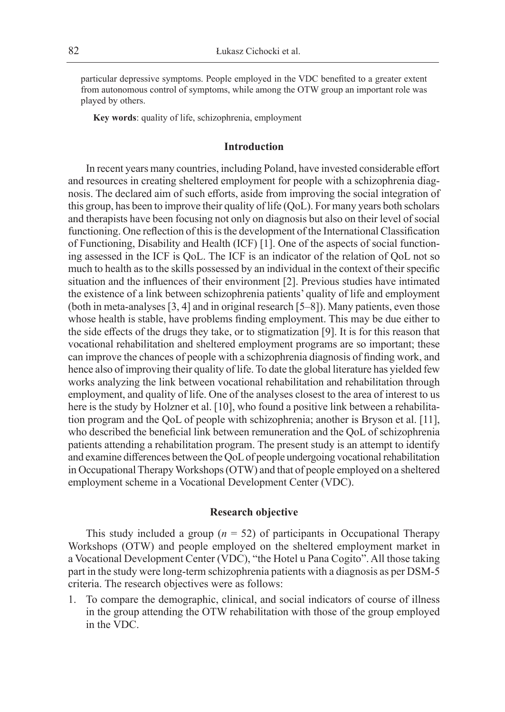particular depressive symptoms. People employed in the VDC benefited to a greater extent from autonomous control of symptoms, while among the OTW group an important role was played by others.

**Key words**: quality of life, schizophrenia, employment

#### **Introduction**

In recent years many countries, including Poland, have invested considerable effort and resources in creating sheltered employment for people with a schizophrenia diagnosis. The declared aim of such efforts, aside from improving the social integration of this group, has been to improve their quality of life (QoL). For many years both scholars and therapists have been focusing not only on diagnosis but also on their level of social functioning. One reflection of this is the development of the International Classification of Functioning, Disability and Health (ICF) [1]. One of the aspects of social functioning assessed in the ICF is QoL. The ICF is an indicator of the relation of QoL not so much to health as to the skills possessed by an individual in the context of their specific situation and the influences of their environment [2]. Previous studies have intimated the existence of a link between schizophrenia patients' quality of life and employment (both in meta-analyses [3, 4] and in original research [5–8]). Many patients, even those whose health is stable, have problems finding employment. This may be due either to the side effects of the drugs they take, or to stigmatization [9]. It is for this reason that vocational rehabilitation and sheltered employment programs are so important; these can improve the chances of people with a schizophrenia diagnosis of finding work, and hence also of improving their quality of life. To date the global literature has yielded few works analyzing the link between vocational rehabilitation and rehabilitation through employment, and quality of life. One of the analyses closest to the area of interest to us here is the study by Holzner et al. [10], who found a positive link between a rehabilitation program and the QoL of people with schizophrenia; another is Bryson et al. [11], who described the beneficial link between remuneration and the QoL of schizophrenia patients attending a rehabilitation program. The present study is an attempt to identify and examine differences between the QoL of people undergoing vocational rehabilitation in Occupational Therapy Workshops (OTW) and that of people employed on a sheltered employment scheme in a Vocational Development Center (VDC).

#### **Research objective**

This study included a group  $(n = 52)$  of participants in Occupational Therapy Workshops (OTW) and people employed on the sheltered employment market in a Vocational Development Center (VDC), "the Hotel u Pana Cogito". All those taking part in the study were long-term schizophrenia patients with a diagnosis as per DSM-5 criteria. The research objectives were as follows:

1. To compare the demographic, clinical, and social indicators of course of illness in the group attending the OTW rehabilitation with those of the group employed in the VDC.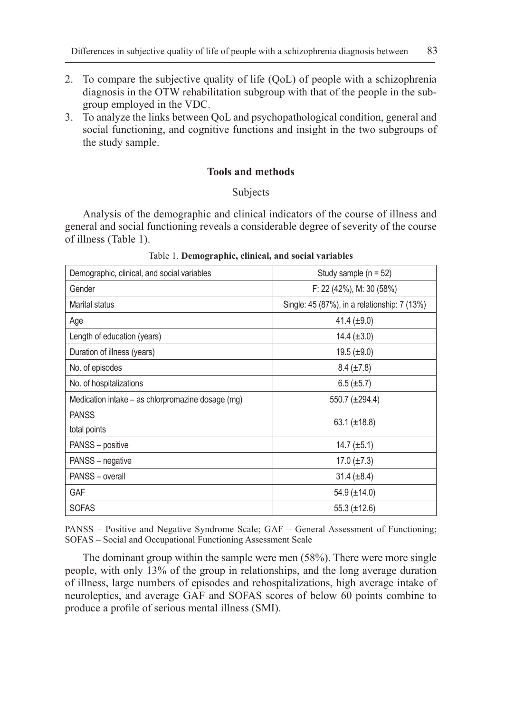- 2. To compare the subjective quality of life (QoL) of people with a schizophrenia diagnosis in the OTW rehabilitation subgroup with that of the people in the subgroup employed in the VDC.
- 3. To analyze the links between QoL and psychopathological condition, general and social functioning, and cognitive functions and insight in the two subgroups of the study sample.

### **Tools and methods**

Subjects

Analysis of the demographic and clinical indicators of the course of illness and general and social functioning reveals a considerable degree of severity of the course of illness (Table 1).

| Demographic, clinical, and social variables       | Study sample $(n = 52)$                      |
|---------------------------------------------------|----------------------------------------------|
| Gender                                            | F: 22 (42%), M: 30 (58%)                     |
| Marital status                                    | Single: 45 (87%), in a relationship: 7 (13%) |
| Age                                               | 41.4 $(\pm 9.0)$                             |
| Length of education (years)                       | 14.4 $(\pm 3.0)$                             |
| Duration of illness (years)                       | $19.5 \ (\pm 9.0)$                           |
| No. of episodes                                   | $8.4 (\pm 7.8)$                              |
| No. of hospitalizations                           | $6.5 (\pm 5.7)$                              |
| Medication intake – as chlorpromazine dosage (mg) | 550.7 (±294.4)                               |
| <b>PANSS</b>                                      |                                              |
| total points                                      | 63.1 $(\pm 18.8)$                            |
| PANSS - positive                                  | 14.7 $(\pm 5.1)$                             |
| PANSS - negative                                  | 17.0 $(\pm 7.3)$                             |
| PANSS - overall                                   | 31.4 $(\pm 8.4)$                             |
| <b>GAF</b>                                        | $54.9 \ (\pm 14.0)$                          |
| <b>SOFAS</b>                                      | $55.3 \ (\pm 12.6)$                          |

Table 1. **Demographic, clinical, and social variables**

PANSS – Positive and Negative Syndrome Scale; GAF – General Assessment of Functioning; SOFAS – Social and Occupational Functioning Assessment Scale

The dominant group within the sample were men (58%). There were more single people, with only 13% of the group in relationships, and the long average duration of illness, large numbers of episodes and rehospitalizations, high average intake of neuroleptics, and average GAF and SOFAS scores of below 60 points combine to produce a profile of serious mental illness (SMI).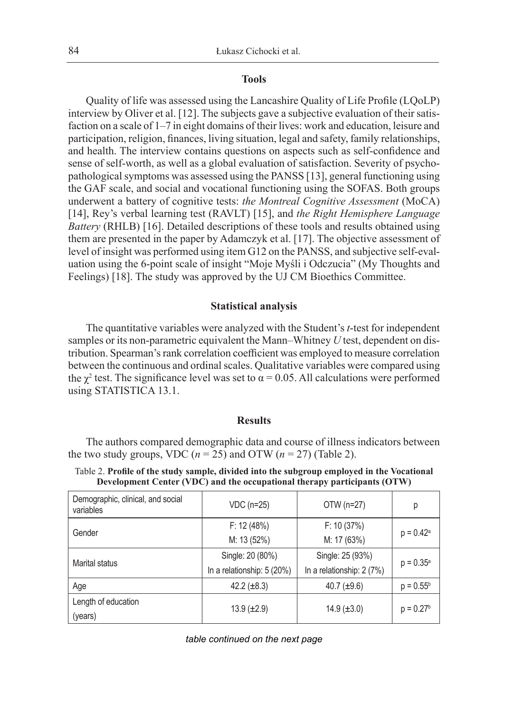#### **Tools**

Quality of life was assessed using the Lancashire Quality of Life Profile (LQoLP) interview by Oliver et al. [12]. The subjects gave a subjective evaluation of their satisfaction on a scale of 1–7 in eight domains of their lives: work and education, leisure and participation, religion, finances, living situation, legal and safety, family relationships, and health. The interview contains questions on aspects such as self-confidence and sense of self-worth, as well as a global evaluation of satisfaction. Severity of psychopathological symptoms was assessed using the PANSS [13], general functioning using the GAF scale, and social and vocational functioning using the SOFAS. Both groups underwent a battery of cognitive tests: *the Montreal Cognitive Assessment* (MoCA) [14], Rey's verbal learning test (RAVLT) [15], and *the Right Hemisphere Language Battery* (RHLB) [16]. Detailed descriptions of these tools and results obtained using them are presented in the paper by Adamczyk et al. [17]. The objective assessment of level of insight was performed using item G12 on the PANSS, and subjective self-evaluation using the 6-point scale of insight "Moje Myśli i Odczucia" (My Thoughts and Feelings) [18]. The study was approved by the UJ CM Bioethics Committee.

#### **Statistical analysis**

The quantitative variables were analyzed with the Student's *t*-test for independent samples or its non-parametric equivalent the Mann–Whitney *U* test, dependent on distribution. Spearman's rank correlation coefficient was employed to measure correlation between the continuous and ordinal scales. Qualitative variables were compared using the  $\chi^2$  test. The significance level was set to  $\alpha = 0.05$ . All calculations were performed using STATISTICA 13.1.

#### **Results**

The authors compared demographic data and course of illness indicators between the two study groups, VDC  $(n = 25)$  and OTW  $(n = 27)$  (Table 2).

| Demographic, clinical, and social<br>variables | VDC (n=25)                           | OTW (n=27)                | р                  |  |
|------------------------------------------------|--------------------------------------|---------------------------|--------------------|--|
| Gender                                         | F: 12 (48%)                          | F: 10(37%)                |                    |  |
|                                                | M: 13 (52%)                          | M: 17 (63%)               | $p = 0.42^a$       |  |
|                                                | Single: 20 (80%)<br>Single: 25 (93%) |                           |                    |  |
| Marital status                                 | In a relationship: 5 (20%)           | In a relationship: 2 (7%) | $p = 0.35^{\circ}$ |  |
| Age                                            | 42.2 $(\pm 8.3)$                     | 40.7 $(\pm 9.6)$          | $p = 0.55^b$       |  |
| Length of education                            |                                      |                           |                    |  |
| (years)                                        | $13.9 \ (\pm 2.9)$                   | $14.9 \ (\pm 3.0)$        | $p = 0.27b$        |  |

Table 2. **Profile of the study sample, divided into the subgroup employed in the Vocational Development Center (VDC) and the occupational therapy participants (OTW)**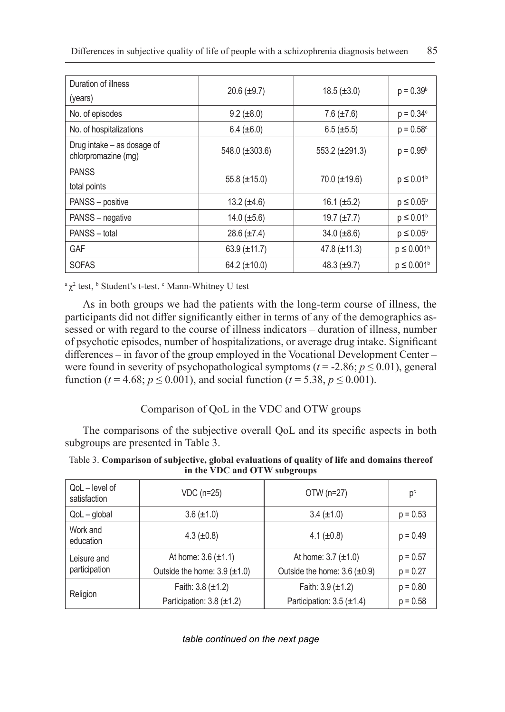| Duration of illness<br>(years)                    | $20.6 (\pm 9.7)$    | $18.5 \ (\pm 3.0)$  | $p = 0.39b$        |
|---------------------------------------------------|---------------------|---------------------|--------------------|
| No. of episodes                                   | $9.2 (\pm 8.0)$     | 7.6 $(\pm 7.6)$     | $p = 0.34^{\circ}$ |
| No. of hospitalizations                           | $6.4 (\pm 6.0)$     | $6.5 (\pm 5.5)$     | $p = 0.58^{\circ}$ |
| Drug intake – as dosage of<br>chlorpromazine (mg) | 548.0 $(\pm 303.6)$ | 553.2 $(\pm 291.3)$ | $p = 0.95^b$       |
| <b>PANSS</b><br>total points                      | $55.8 (\pm 15.0)$   | $70.0 (\pm 19.6)$   | $p \leq 0.01^b$    |
| PANSS - positive                                  | 13.2 $(\pm 4.6)$    | 16.1 $(\pm 5.2)$    | $p \leq 0.05^b$    |
| PANSS - negative                                  | $14.0 \ (\pm 5.6)$  | 19.7 $(\pm 7.7)$    | $p \leq 0.01^b$    |
| PANSS - total                                     | $28.6 (\pm 7.4)$    | $34.0 \ (\pm 8.6)$  | $p \leq 0.05^b$    |
| <b>GAF</b>                                        | 63.9 $(\pm 11.7)$   | 47.8 $(\pm 11.3)$   | $p \leq 0.001^b$   |
| <b>SOFAS</b>                                      | $64.2 (\pm 10.0)$   | 48.3 $(\pm 9.7)$    | $p \leq 0.001^b$   |

<sup>a</sup>χ<sup>2</sup> test, <sup>b</sup> Student's t-test. <sup>c</sup> Mann-Whitney U test

As in both groups we had the patients with the long-term course of illness, the participants did not differ significantly either in terms of any of the demographics assessed or with regard to the course of illness indicators – duration of illness, number of psychotic episodes, number of hospitalizations, or average drug intake. Significant differences – in favor of the group employed in the Vocational Development Center – were found in severity of psychopathological symptoms ( $t = -2.86$ ;  $p \le 0.01$ ), general function ( $t = 4.68$ ;  $p \le 0.001$ ), and social function ( $t = 5.38$ ,  $p \le 0.001$ ).

## Comparison of QoL in the VDC and OTW groups

The comparisons of the subjective overall QoL and its specific aspects in both subgroups are presented in Table 3.

| Table 3. Comparison of subjective, global evaluations of quality of life and domains thereof |  |
|----------------------------------------------------------------------------------------------|--|
| in the VDC and OTW subgroups                                                                 |  |

| QoL - level of<br>satisfaction | VDC (n=25)                          | OTW (n=27)                          | $p^c$      |
|--------------------------------|-------------------------------------|-------------------------------------|------------|
| $QoL - global$                 | $3.6 (\pm 1.0)$                     | $3.4 (\pm 1.0)$                     | $p = 0.53$ |
| Work and<br>education          | 4.3 $(\pm 0.8)$                     | 4.1 $(\pm 0.8)$                     | $p = 0.49$ |
| Leisure and                    | At home: $3.6 \ (\pm 1.1)$          | At home: $3.7 (\pm 1.0)$            | $p = 0.57$ |
| participation                  | Outside the home: $3.9 \ (\pm 1.0)$ | Outside the home: $3.6 \ (\pm 0.9)$ | $p = 0.27$ |
|                                | Faith: $3.8 \ (\pm 1.2)$            | Faith: $3.9 \ (\pm 1.2)$            | $p = 0.80$ |
| Religion                       | Participation: $3.8 \ (\pm 1.2)$    | Participation: $3.5 \ (\pm 1.4)$    | $p = 0.58$ |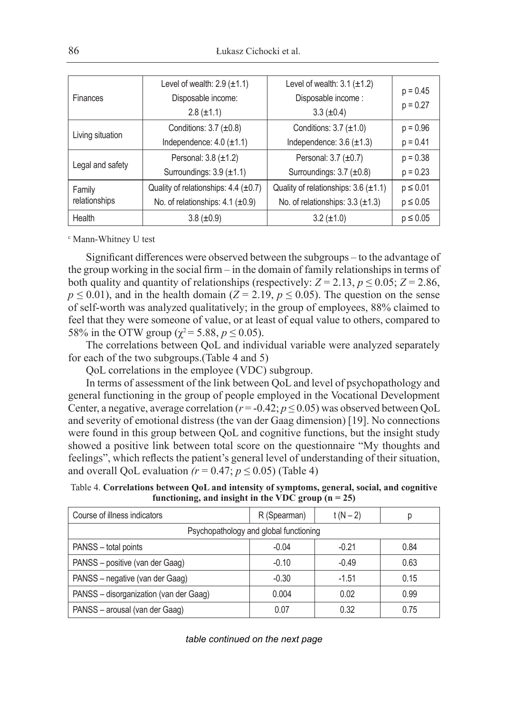|                                                     | Level of wealth: $2.9$ ( $\pm$ 1.1)         | Level of wealth: $3.1 \ (\pm 1.2)$          | $p = 0.45$    |
|-----------------------------------------------------|---------------------------------------------|---------------------------------------------|---------------|
| Finances                                            | Disposable income:                          | Disposable income:                          |               |
|                                                     | $2.8 (\pm 1.1)$                             | $3.3 (\pm 0.4)$                             | $p = 0.27$    |
|                                                     | Conditions: $3.7 \ (\pm 0.8)$               | Conditions: $3.7 \pm 1.0$ )                 | $p = 0.96$    |
| Living situation<br>Independence: $4.0 \ (\pm 1.1)$ |                                             | Independence: $3.6 \ (\pm 1.3)$             | $p = 0.41$    |
|                                                     | Personal: $3.8 \ (\pm 1.2)$                 | Personal: $3.7 \ (\pm 0.7)$                 | $p = 0.38$    |
| Legal and safety                                    | Surroundings: $3.9 \ (\pm 1.1)$             | Surroundings: 3.7 (±0.8)                    | $p = 0.23$    |
| Family                                              | Quality of relationships: $4.4 \ (\pm 0.7)$ | Quality of relationships: $3.6 \ (\pm 1.1)$ | $p \leq 0.01$ |
| relationships                                       | No. of relationships: $4.1$ ( $\pm 0.9$ )   | No. of relationships: $3.3 \ (\pm 1.3)$     | $p \leq 0.05$ |
| Health                                              | $3.8 (\pm 0.9)$                             | $3.2 (\pm 1.0)$                             | $p \leq 0.05$ |

c Mann-Whitney U test

Significant differences were observed between the subgroups – to the advantage of the group working in the social firm – in the domain of family relationships in terms of both quality and quantity of relationships (respectively:  $Z = 2.13$ ,  $p \le 0.05$ ;  $Z = 2.86$ ,  $p \le 0.01$ ), and in the health domain (*Z* = 2.19,  $p \le 0.05$ ). The question on the sense of self-worth was analyzed qualitatively; in the group of employees, 88% claimed to feel that they were someone of value, or at least of equal value to others, compared to 58% in the OTW group ( $\chi^2$  = 5.88,  $p \le 0.05$ ).

The correlations between QoL and individual variable were analyzed separately for each of the two subgroups.(Table 4 and 5)

QoL correlations in the employee (VDC) subgroup.

In terms of assessment of the link between QoL and level of psychopathology and general functioning in the group of people employed in the Vocational Development Center, a negative, average correlation ( $r = -0.42$ ;  $p \le 0.05$ ) was observed between QoL and severity of emotional distress (the van der Gaag dimension) [19]. No connections were found in this group between QoL and cognitive functions, but the insight study showed a positive link between total score on the questionnaire "My thoughts and feelings", which reflects the patient's general level of understanding of their situation, and overall QoL evaluation  $(r = 0.47; p \le 0.05)$  (Table 4)

Table 4. **Correlations between QoL and intensity of symptoms, general, social, and cognitive functioning, and insight in the VDC group (n = 25)**

| Course of illness indicators           | R (Spearman) | $t(N-2)$ |      |  |
|----------------------------------------|--------------|----------|------|--|
| Psychopathology and global functioning |              |          |      |  |
| PANSS - total points                   | $-0.04$      | $-0.21$  | 0.84 |  |
| PANSS - positive (van der Gaag)        | $-0.10$      | $-0.49$  | 0.63 |  |
| PANSS - negative (van der Gaag)        | $-0.30$      | $-1.51$  | 0.15 |  |
| PANSS - disorganization (van der Gaag) | 0.004        | 0.02     | 0.99 |  |
| PANSS - arousal (van der Gaag)         | 0.07         | 0.32     | 0.75 |  |

#### *table continued on the next page*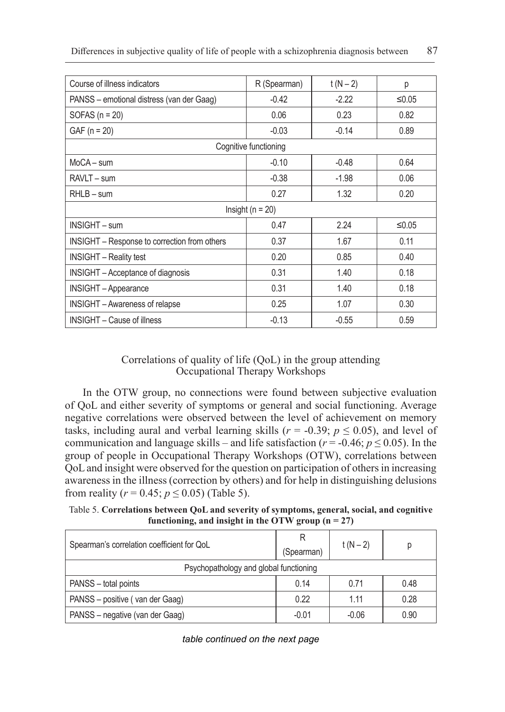| Course of illness indicators                 | R (Spearman)          | $t(N-2)$ | р        |  |  |
|----------------------------------------------|-----------------------|----------|----------|--|--|
| PANSS - emotional distress (van der Gaag)    | $-0.42$               | $-2.22$  | ≤ $0.05$ |  |  |
| SOFAS $(n = 20)$                             | 0.06                  | 0.23     | 0.82     |  |  |
| $GAF (n = 20)$                               | $-0.03$               | $-0.14$  | 0.89     |  |  |
|                                              | Cognitive functioning |          |          |  |  |
| $MoCA-sum$                                   | $-0.10$               | $-0.48$  | 0.64     |  |  |
| RAVLT - sum                                  | $-0.38$               | $-1.98$  | 0.06     |  |  |
| $RHLB - sum$                                 | 0.27                  | 1.32     | 0.20     |  |  |
| Insight ( $n = 20$ )                         |                       |          |          |  |  |
| <b>INSIGHT - sum</b>                         | 0.47                  | 2.24     | ≤ $0.05$ |  |  |
| INSIGHT – Response to correction from others | 0.37                  | 1.67     | 0.11     |  |  |
| <b>INSIGHT</b> – Reality test                | 0.20                  | 0.85     | 0.40     |  |  |
| <b>INSIGHT</b> – Acceptance of diagnosis     | 0.31                  | 1.40     | 0.18     |  |  |
| <b>INSIGHT</b> - Appearance                  | 0.31                  | 1.40     | 0.18     |  |  |
| <b>INSIGHT</b> – Awareness of relapse        | 0.25                  | 1.07     | 0.30     |  |  |
| <b>INSIGHT</b> – Cause of illness            | $-0.13$               | $-0.55$  | 0.59     |  |  |

## Correlations of quality of life (QoL) in the group attending Occupational Therapy Workshops

In the OTW group, no connections were found between subjective evaluation of QoL and either severity of symptoms or general and social functioning. Average negative correlations were observed between the level of achievement on memory tasks, including aural and verbal learning skills ( $r = -0.39$ ;  $p \le 0.05$ ), and level of communication and language skills – and life satisfaction ( $r = -0.46$ ;  $p \le 0.05$ ). In the group of people in Occupational Therapy Workshops (OTW), correlations between QoL and insight were observed for the question on participation of others in increasing awareness in the illness (correction by others) and for help in distinguishing delusions from reality ( $r = 0.45$ ;  $p \le 0.05$ ) (Table 5).

Table 5. **Correlations between QoL and severity of symptoms, general, social, and cognitive**  functioning, and insight in the OTW group  $(n = 27)$ 

| Spearman's correlation coefficient for QoL | (Spearman) | $t(N-2)$ |      |
|--------------------------------------------|------------|----------|------|
| Psychopathology and global functioning     |            |          |      |
| PANSS - total points                       | 0.14       | 0.71     | 0.48 |
| PANSS - positive (van der Gaag)            | 0.22       | 1.11     | 0.28 |
| PANSS - negative (van der Gaag)            | $-0.01$    | $-0.06$  | 0.90 |

#### *table continued on the next page*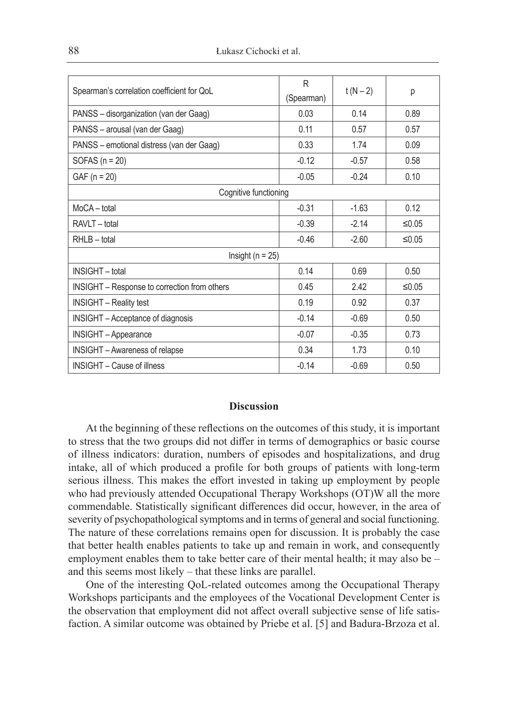| Spearman's correlation coefficient for QoL   | R<br>(Spearman) | $t(N - 2)$ | р        |
|----------------------------------------------|-----------------|------------|----------|
| PANSS - disorganization (van der Gaag)       | 0.03            | 0.14       | 0.89     |
| PANSS - arousal (van der Gaag)               | 0.11            | 0.57       | 0.57     |
| PANSS - emotional distress (van der Gaag)    | 0.33            | 1.74       | 0.09     |
| SOFAS $(n = 20)$                             | $-0.12$         | $-0.57$    | 0.58     |
| $GAF (n = 20)$                               | $-0.05$         | $-0.24$    | 0.10     |
| Cognitive functioning                        |                 |            |          |
| MoCA-total                                   | $-0.31$         | $-1.63$    | 0.12     |
| RAVLT - total                                | $-0.39$         | $-2.14$    | ≤ $0.05$ |
| RHLB-total                                   | $-0.46$         | $-2.60$    | $≤0.05$  |
| Insight ( $n = 25$ )                         |                 |            |          |
| <b>INSIGHT</b> - total                       | 0.14            | 0.69       | 0.50     |
| INSIGHT - Response to correction from others | 0.45            | 2.42       | ≤ $0.05$ |
| <b>INSIGHT</b> - Reality test                | 0.19            | 0.92       | 0.37     |
| <b>INSIGHT</b> – Acceptance of diagnosis     | $-0.14$         | $-0.69$    | 0.50     |
| <b>INSIGHT</b> - Appearance                  | $-0.07$         | $-0.35$    | 0.73     |
| <b>INSIGHT</b> – Awareness of relapse        | 0.34            | 1.73       | 0.10     |
| <b>INSIGHT - Cause of illness</b>            | $-0.14$         | $-0.69$    | 0.50     |

#### **Discussion**

At the beginning of these reflections on the outcomes of this study, it is important to stress that the two groups did not differ in terms of demographics or basic course of illness indicators: duration, numbers of episodes and hospitalizations, and drug intake, all of which produced a profile for both groups of patients with long-term serious illness. This makes the effort invested in taking up employment by people who had previously attended Occupational Therapy Workshops (OT)W all the more commendable. Statistically significant differences did occur, however, in the area of severity of psychopathological symptoms and in terms of general and social functioning. The nature of these correlations remains open for discussion. It is probably the case that better health enables patients to take up and remain in work, and consequently employment enables them to take better care of their mental health; it may also be – and this seems most likely – that these links are parallel.

One of the interesting QoL-related outcomes among the Occupational Therapy Workshops participants and the employees of the Vocational Development Center is the observation that employment did not affect overall subjective sense of life satisfaction. A similar outcome was obtained by Priebe et al. [5] and Badura-Brzoza et al.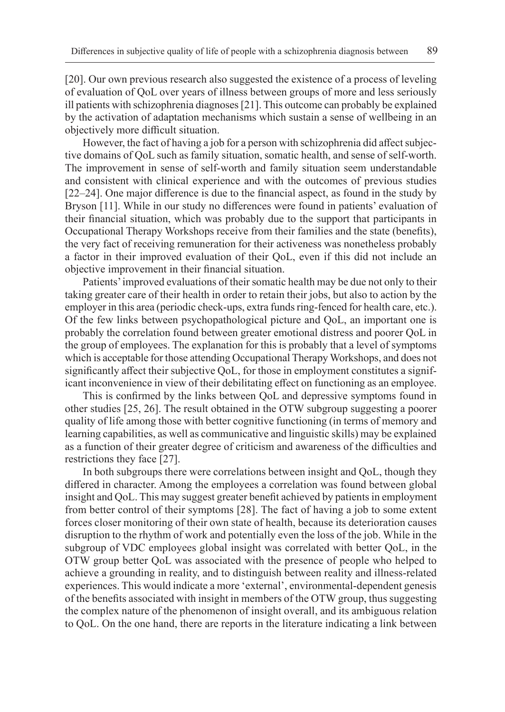[20]. Our own previous research also suggested the existence of a process of leveling of evaluation of QoL over years of illness between groups of more and less seriously ill patients with schizophrenia diagnoses [21]. This outcome can probably be explained by the activation of adaptation mechanisms which sustain a sense of wellbeing in an objectively more difficult situation.

However, the fact of having a job for a person with schizophrenia did affect subjective domains of QoL such as family situation, somatic health, and sense of self-worth. The improvement in sense of self-worth and family situation seem understandable and consistent with clinical experience and with the outcomes of previous studies [22–24]. One major difference is due to the financial aspect, as found in the study by Bryson [11]. While in our study no differences were found in patients' evaluation of their financial situation, which was probably due to the support that participants in Occupational Therapy Workshops receive from their families and the state (benefits), the very fact of receiving remuneration for their activeness was nonetheless probably a factor in their improved evaluation of their QoL, even if this did not include an objective improvement in their financial situation.

Patients' improved evaluations of their somatic health may be due not only to their taking greater care of their health in order to retain their jobs, but also to action by the employer in this area (periodic check-ups, extra funds ring-fenced for health care, etc.). Of the few links between psychopathological picture and QoL, an important one is probably the correlation found between greater emotional distress and poorer QoL in the group of employees. The explanation for this is probably that a level of symptoms which is acceptable for those attending Occupational Therapy Workshops, and does not significantly affect their subjective QoL, for those in employment constitutes a significant inconvenience in view of their debilitating effect on functioning as an employee.

This is confirmed by the links between QoL and depressive symptoms found in other studies [25, 26]. The result obtained in the OTW subgroup suggesting a poorer quality of life among those with better cognitive functioning (in terms of memory and learning capabilities, as well as communicative and linguistic skills) may be explained as a function of their greater degree of criticism and awareness of the difficulties and restrictions they face [27].

In both subgroups there were correlations between insight and QoL, though they differed in character. Among the employees a correlation was found between global insight and QoL. This may suggest greater benefit achieved by patients in employment from better control of their symptoms [28]. The fact of having a job to some extent forces closer monitoring of their own state of health, because its deterioration causes disruption to the rhythm of work and potentially even the loss of the job. While in the subgroup of VDC employees global insight was correlated with better QoL, in the OTW group better QoL was associated with the presence of people who helped to achieve a grounding in reality, and to distinguish between reality and illness-related experiences. This would indicate a more 'external', environmental-dependent genesis of the benefits associated with insight in members of the OTW group, thus suggesting the complex nature of the phenomenon of insight overall, and its ambiguous relation to QoL. On the one hand, there are reports in the literature indicating a link between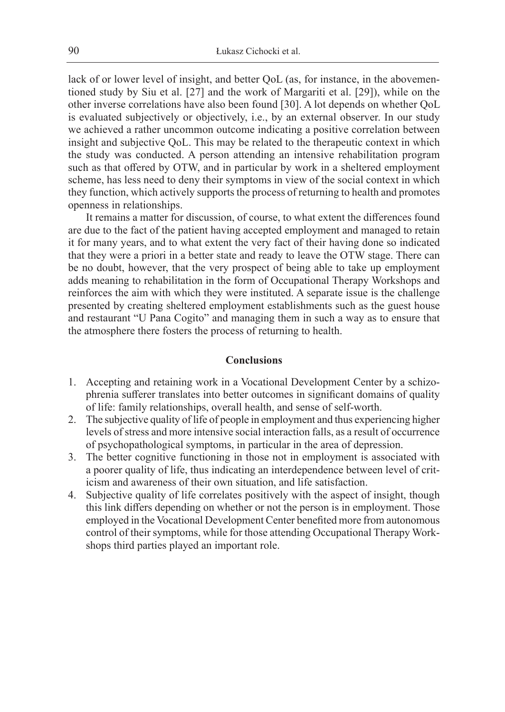lack of or lower level of insight, and better QoL (as, for instance, in the abovementioned study by Siu et al. [27] and the work of Margariti et al. [29]), while on the other inverse correlations have also been found [30]. A lot depends on whether QoL is evaluated subjectively or objectively, i.e., by an external observer. In our study we achieved a rather uncommon outcome indicating a positive correlation between insight and subjective QoL. This may be related to the therapeutic context in which the study was conducted. A person attending an intensive rehabilitation program such as that offered by OTW, and in particular by work in a sheltered employment scheme, has less need to deny their symptoms in view of the social context in which they function, which actively supports the process of returning to health and promotes openness in relationships.

It remains a matter for discussion, of course, to what extent the differences found are due to the fact of the patient having accepted employment and managed to retain it for many years, and to what extent the very fact of their having done so indicated that they were a priori in a better state and ready to leave the OTW stage. There can be no doubt, however, that the very prospect of being able to take up employment adds meaning to rehabilitation in the form of Occupational Therapy Workshops and reinforces the aim with which they were instituted. A separate issue is the challenge presented by creating sheltered employment establishments such as the guest house and restaurant "U Pana Cogito" and managing them in such a way as to ensure that the atmosphere there fosters the process of returning to health.

#### **Conclusions**

- 1. Accepting and retaining work in a Vocational Development Center by a schizophrenia sufferer translates into better outcomes in significant domains of quality of life: family relationships, overall health, and sense of self-worth.
- 2. The subjective quality of life of people in employment and thus experiencing higher levels of stress and more intensive social interaction falls, as a result of occurrence of psychopathological symptoms, in particular in the area of depression.
- 3. The better cognitive functioning in those not in employment is associated with a poorer quality of life, thus indicating an interdependence between level of criticism and awareness of their own situation, and life satisfaction.
- 4. Subjective quality of life correlates positively with the aspect of insight, though this link differs depending on whether or not the person is in employment. Those employed in the Vocational Development Center benefited more from autonomous control of their symptoms, while for those attending Occupational Therapy Workshops third parties played an important role.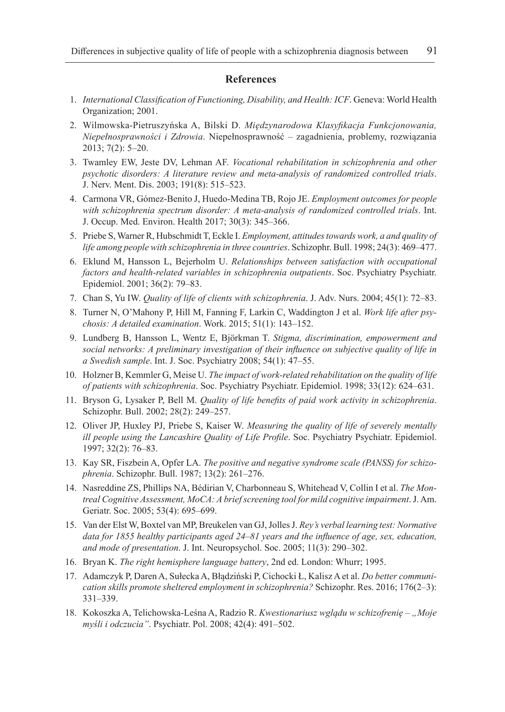#### **References**

- 1. *International Classification of Functioning, Disability, and Health: ICF*. Geneva: World Health Organization; 2001.
- 2. Wilmowska-Pietruszyńska A, Bilski D. *Międzynarodowa Klasyfikacja Funkcjonowania, Niepełnosprawności i Zdrowia*. Niepełnosprawność – zagadnienia, problemy, rozwiązania 2013; 7(2): 5–20.
- 3. Twamley EW, Jeste DV, Lehman AF. *Vocational rehabilitation in schizophrenia and other psychotic disorders: A literature review and meta-analysis of randomized controlled trials*. J. Nerv. Ment. Dis. 2003; 191(8): 515–523.
- 4. Carmona VR, Gómez-Benito J, Huedo-Medina TB, Rojo JE. *Employment outcomes for people with schizophrenia spectrum disorder: A meta-analysis of randomized controlled trials*. Int. J. Occup. Med. Environ. Health 2017; 30(3): 345–366.
- 5. Priebe S, Warner R, Hubschmidt T, Eckle I. *Employment, attitudes towards work, a and quality of life among people with schizophrenia in three countries*. Schizophr. Bull. 1998; 24(3): 469–477.
- 6. Eklund M, Hansson L, Bejerholm U. *Relationships between satisfaction with occupational factors and health-related variables in schizophrenia outpatients*. Soc. Psychiatry Psychiatr. Epidemiol. 2001; 36(2): 79–83.
- 7. Chan S, Yu IW. *Quality of life of clients with schizophrenia*. J. Adv. Nurs. 2004; 45(1): 72–83.
- 8. Turner N, O'Mahony P, Hill M, Fanning F, Larkin C, Waddington J et al. *Work life after psychosis: A detailed examination*. Work. 2015; 51(1): 143–152.
- 9. Lundberg B, Hansson L, Wentz E, Björkman T. *Stigma, discrimination, empowerment and social networks: A preliminary investigation of their influence on subjective quality of life in a Swedish sample*. Int. J. Soc. Psychiatry 2008; 54(1): 47–55.
- 10. Holzner B, Kemmler G, Meise U. *The impact of work-related rehabilitation on the quality of life of patients with schizophrenia*. Soc. Psychiatry Psychiatr. Epidemiol. 1998; 33(12): 624–631.
- 11. Bryson G, Lysaker P, Bell M. *Quality of life benefits of paid work activity in schizophrenia*. Schizophr. Bull. 2002; 28(2): 249–257.
- 12. Oliver JP, Huxley PJ, Priebe S, Kaiser W. *Measuring the quality of life of severely mentally ill people using the Lancashire Quality of Life Profile*. Soc. Psychiatry Psychiatr. Epidemiol. 1997; 32(2): 76–83.
- 13. Kay SR, Fiszbein A, Opfer LA. *The positive and negative syndrome scale (PANSS) for schizophrenia*. Schizophr. Bull. 1987; 13(2): 261–276.
- 14. Nasreddine ZS, Phillips NA, Bédirian V, Charbonneau S, Whitehead V, Collin I et al. *The Montreal Cognitive Assessment, MoCA: A brief screening tool for mild cognitive impairment*. J. Am. Geriatr. Soc. 2005; 53(4): 695–699.
- 15. Van der Elst W, Boxtel van MP, Breukelen van GJ, Jolles J. *Rey's verbal learning test: Normative data for 1855 healthy participants aged 24–81 years and the influence of age, sex, education, and mode of presentation*. J. Int. Neuropsychol. Soc. 2005; 11(3): 290–302.
- 16. Bryan K. *The right hemisphere language battery*, 2nd ed. London: Whurr; 1995.
- 17. Adamczyk P, Daren A, Sułecka A, Błądziński P, Cichocki Ł, Kalisz A et al. *Do better communication skills promote sheltered employment in schizophrenia?* Schizophr. Res. 2016; 176(2–3): 331–339.
- 18. Kokoszka A, Telichowska-Leśna A, Radzio R. *Kwestionariusz wglądu w schizofrenię "Moje myśli i odczucia"*. Psychiatr. Pol. 2008; 42(4): 491–502.